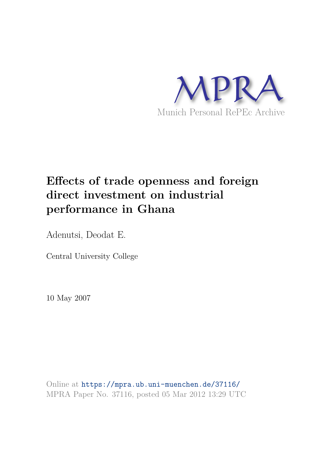

# **Effects of trade openness and foreign direct investment on industrial performance in Ghana**

Adenutsi, Deodat E.

Central University College

10 May 2007

Online at https://mpra.ub.uni-muenchen.de/37116/ MPRA Paper No. 37116, posted 05 Mar 2012 13:29 UTC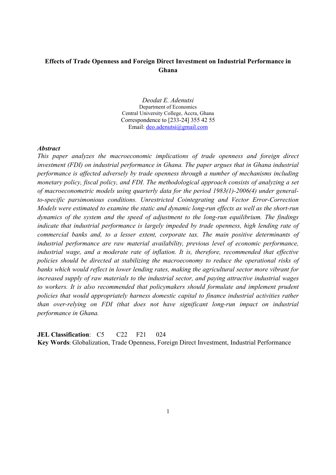# **Effects of Trade Openness and Foreign Direct Investment on Industrial Performance in Ghana**

*Deodat E. Adenutsi* Department of Economics Central University College, Accra, Ghana Correspondence to [233-24] 355 42 55 Email: deo.adenutsi@gmail.com

#### *Abstract*

*This paper analyzes the macroeconomic implications of trade openness and foreign direct investment (FDI) on industrial performance in Ghana. The paper argues that in Ghana industrial performance is affected adversely by trade openness through a number of mechanisms including monetary policy, fiscal policy, and FDI. The methodological approach consists of analyzing a set of macroeconometric models using quarterly data for the period 1983(1)-2006(4) under generalto-specific parsimonious conditions. Unrestricted Cointegrating and Vector Error-Correction Models were estimated to examine the static and dynamic long-run effects as well as the short-run dynamics of the system and the speed of adjustment to the long-run equilibrium. The findings indicate that industrial performance is largely impeded by trade openness, high lending rate of commercial banks and, to a lesser extent, corporate tax. The main positive determinants of industrial performance are raw material availability, previous level of economic performance,*  industrial wage, and a moderate rate of inflation. It is, therefore, recommended that effective *policies should be directed at stabilizing the macroeconomy to reduce the operational risks of banks which would reflect in lower lending rates, making the agricultural sector more vibrant for increased supply of raw materials to the industrial sector, and paying attractive industrial wages to workers. It is also recommended that policymakers should formulate and implement prudent policies that would appropriately harness domestic capital to finance industrial activities rather than over-relying on FDI (that does not have significant long-run impact on industrial performance in Ghana.*

**JEL Classification:** C5 C22 F21 024 **Key Words**: Globalization, Trade Openness, Foreign Direct Investment, Industrial Performance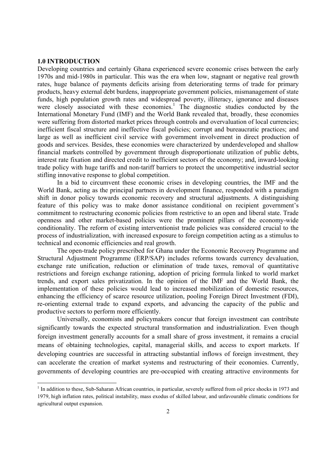#### **1.0 INTRODUCTION**

 $\overline{a}$ 

Developing countries and certainly Ghana experienced severe economic crises between the early 1970s and mid-1980s in particular. This was the era when low, stagnant or negative real growth rates, huge balance of payments deficits arising from deteriorating terms of trade for primary products, heavy external debt burdens, inappropriate government policies, mismanagement of state funds, high population growth rates and widespread poverty, illiteracy, ignorance and diseases were closely associated with these economies.<sup>1</sup> The diagnostic studies conducted by the International Monetary Fund (IMF) and the World Bank revealed that, broadly, these economies were suffering from distorted market prices through controls and overvaluation of local currencies; inefficient fiscal structure and ineffective fiscal policies; corrupt and bureaucratic practices; and large as well as inefficient civil service with government involvement in direct production of goods and services. Besides, these economies were characterized by underdeveloped and shallow financial markets controlled by government through disproportionate utilization of public debts, interest rate fixation and directed credit to inefficient sectors of the economy; and, inward-looking trade policy with huge tariffs and non-tariff barriers to protect the uncompetitive industrial sector stifling innovative response to global competition.

In a bid to circumvent these economic crises in developing countries, the IMF and the World Bank, acting as the principal partners in development finance, responded with a paradigm shift in donor policy towards economic recovery and structural adjustments. A distinguishing feature of this policy was to make donor assistance conditional on recipient government's commitment to restructuring economic policies from restrictive to an open and liberal state. Trade openness and other market-based policies were the prominent pillars of the economy-wide conditionality. The reform of existing interventionist trade policies was considered crucial to the process of industrialization, with increased exposure to foreign competition acting as a stimulus to technical and economic efficiencies and real growth.

The open-trade policy prescribed for Ghana under the Economic Recovery Programme and Structural Adjustment Programme (ERP/SAP) includes reforms towards currency devaluation, exchange rate unification, reduction or elimination of trade taxes, removal of quantitative restrictions and foreign exchange rationing, adoption of pricing formula linked to world market trends, and export sales privatization. In the opinion of the IMF and the World Bank, the implementation of these policies would lead to increased mobilization of domestic resources, enhancing the efficiency of scarce resource utilization, pooling Foreign Direct Investment (FDI), re-orienting external trade to expand exports, and advancing the capacity of the public and productive sectors to perform more efficiently.

Universally, economists and policymakers concur that foreign investment can contribute significantly towards the expected structural transformation and industrialization. Even though foreign investment generally accounts for a small share of gross investment, it remains a crucial means of obtaining technologies, capital, managerial skills, and access to export markets. If developing countries are successful in attracting substantial inflows of foreign investment, they can accelerate the creation of market systems and restructuring of their economies. Currently, governments of developing countries are pre-occupied with creating attractive environments for

<sup>&</sup>lt;sup>1</sup> In addition to these, Sub-Saharan African countries, in particular, severely suffered from oil price shocks in 1973 and 1979, high inflation rates, political instability, mass exodus of skilled labour, and unfavourable climatic conditions for agricultural output expansion.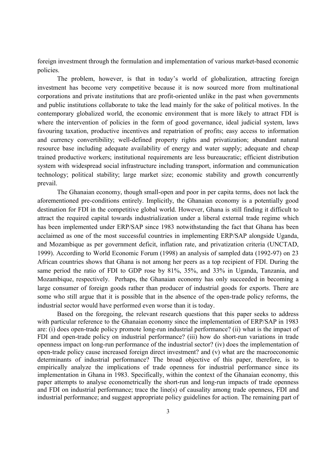foreign investment through the formulation and implementation of various market-based economic policies.

The problem, however, is that in today's world of globalization, attracting foreign investment has become very competitive because it is now sourced more from multinational corporations and private institutions that are profit-oriented unlike in the past when governments and public institutions collaborate to take the lead mainly for the sake of political motives. In the contemporary globalized world, the economic environment that is more likely to attract FDI is where the intervention of policies in the form of good governance, ideal judicial system, laws favouring taxation, productive incentives and repatriation of profits; easy access to information and currency convertibility; well-defined property rights and privatization; abundant natural resource base including adequate availability of energy and water supply; adequate and cheap trained productive workers; institutional requirements are less bureaucratic; efficient distribution system with widespread social infrastructure including transport, information and communication technology; political stability; large market size; economic stability and growth concurrently prevail.

The Ghanaian economy, though small-open and poor in per capita terms, does not lack the aforementioned pre-conditions entirely. Implicitly, the Ghanaian economy is a potentially good destination for FDI in the competitive global world. However, Ghana is still finding it difficult to attract the required capital towards industrialization under a liberal external trade regime which has been implemented under ERP/SAP since 1983 notwithstanding the fact that Ghana has been acclaimed as one of the most successful countries in implementing ERP/SAP alongside Uganda, and Mozambique as per government deficit, inflation rate, and privatization criteria (UNCTAD, 1999). According to World Economic Forum (1998) an analysis of sampled data (1992-97) on 23 African countries shows that Ghana is not among her peers as a top recipient of FDI. During the same period the ratio of FDI to GDP rose by 81%, 35%, and 33% in Uganda, Tanzania, and Mozambique, respectively. Perhaps, the Ghanaian economy has only succeeded in becoming a large consumer of foreign goods rather than producer of industrial goods for exports. There are some who still argue that it is possible that in the absence of the open-trade policy reforms, the industrial sector would have performed even worse than it is today.

Based on the foregoing, the relevant research questions that this paper seeks to address with particular reference to the Ghanaian economy since the implementation of ERP/SAP in 1983 are: (i) does open-trade policy promote long-run industrial performance? (ii) what is the impact of FDI and open-trade policy on industrial performance? (iii) how do short-run variations in trade openness impact on long-run performance of the industrial sector? (iv) does the implementation of open-trade policy cause increased foreign direct investment? and (v) what are the macroeconomic determinants of industrial performance? The broad objective of this paper, therefore, is to empirically analyze the implications of trade openness for industrial performance since its implementation in Ghana in 1983. Specifically, within the context of the Ghanaian economy, this paper attempts to analyse econometrically the short-run and long-run impacts of trade openness and FDI on industrial performance; trace the line(s) of causality among trade openness, FDI and industrial performance; and suggest appropriate policy guidelines for action. The remaining part of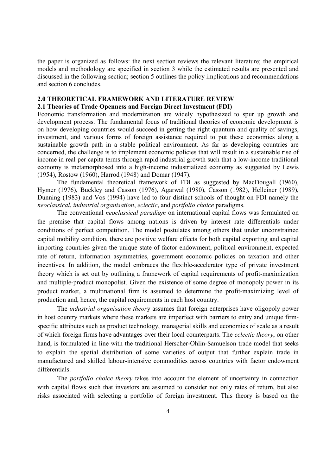the paper is organized as follows: the next section reviews the relevant literature; the empirical models and methodology are specified in section 3 while the estimated results are presented and discussed in the following section; section 5 outlines the policy implications and recommendations and section 6 concludes.

#### **2.0 THEORETICAL FRAMEWORK AND LITERATURE REVIEW**

#### **2.1 Theories of Trade Openness and Foreign Direct Investment (FDI)**

Economic transformation and modernization are widely hypothesized to spur up growth and development process. The fundamental focus of traditional theories of economic development is on how developing countries would succeed in getting the right quantum and quality of savings, investment, and various forms of foreign assistance required to put these economies along a sustainable growth path in a stable political environment. As far as developing countries are concerned, the challenge is to implement economic policies that will result in a sustainable rise of income in real per capita terms through rapid industrial growth such that a low-income traditional economy is metamorphosed into a high-income industrialized economy as suggested by Lewis (1954), Rostow (1960), Harrod (1948) and Domar (1947).

The fundamental theoretical framework of FDI as suggested by MacDougall (1960), Hymer (1976), Buckley and Casson (1976), Agarwal (1980), Casson (1982), Helleiner (1989), Dunning (1983) and Vos (1994) have led to four distinct schools of thought on FDI namely the *neoclassical*, *industrial organisation*, *eclectic*, and *portfolio choice* paradigms.

The conventional *neoclassical paradigm* on international capital flows was formulated on the premise that capital flows among nations is driven by interest rate differentials under conditions of perfect competition. The model postulates among others that under unconstrained capital mobility condition, there are positive welfare effects for both capital exporting and capital importing countries given the unique state of factor endowment, political environment, expected rate of return, information asymmetries, government economic policies on taxation and other incentives. In addition, the model embraces the flexible-accelerator type of private investment theory which is set out by outlining a framework of capital requirements of profit-maximization and multiple-product monopolist. Given the existence of some degree of monopoly power in its product market, a multinational firm is assumed to determine the profit-maximizing level of production and, hence, the capital requirements in each host country.

The *industrial organisation theor*y assumes that foreign enterprises have oligopoly power in host country markets where these markets are imperfect with barriers to entry and unique firmspecific attributes such as product technology, managerial skills and economies of scale as a result of which foreign firms have advantages over their local counterparts. The *eclectic theory*, on other hand, is formulated in line with the traditional Herscher-Ohlin-Samuelson trade model that seeks to explain the spatial distribution of some varieties of output that further explain trade in manufactured and skilled labour-intensive commodities across countries with factor endowment differentials.

The *portfolio choice theory* takes into account the element of uncertainty in connection with capital flows such that investors are assumed to consider not only rates of return, but also risks associated with selecting a portfolio of foreign investment. This theory is based on the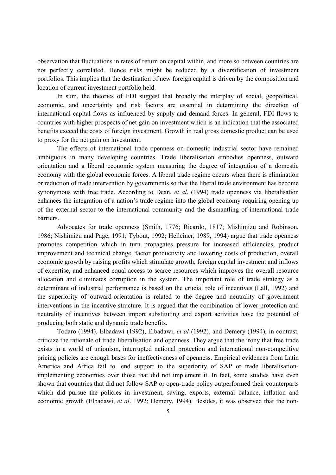observation that fluctuations in rates of return on capital within, and more so between countries are not perfectly correlated. Hence risks might be reduced by a diversification of investment portfolios. This implies that the destination of new foreign capital is driven by the composition and location of current investment portfolio held.

In sum, the theories of FDI suggest that broadly the interplay of social, geopolitical, economic, and uncertainty and risk factors are essential in determining the direction of international capital flows as influenced by supply and demand forces. In general, FDI flows to countries with higher prospects of net gain on investment which is an indication that the associated benefits exceed the costs of foreign investment. Growth in real gross domestic product can be used to proxy for the net gain on investment.

The effects of international trade openness on domestic industrial sector have remained ambiguous in many developing countries. Trade liberalisation embodies openness, outward orientation and a liberal economic system measuring the degree of integration of a domestic economy with the global economic forces. A liberal trade regime occurs when there is elimination or reduction of trade intervention by governments so that the liberal trade environment has become synonymous with free trade. According to Dean, *et al*. (1994) trade openness via liberalisation enhances the integration of a nation's trade regime into the global economy requiring opening up of the external sector to the international community and the dismantling of international trade barriers.

Advocates for trade openness (Smith, 1776; Ricardo, 1817; Mishimizu and Robinson, 1986; Nishimizu and Page, 1991; Tybout, 1992; Helleiner, 1989, 1994) argue that trade openness promotes competition which in turn propagates pressure for increased efficiencies, product improvement and technical change, factor productivity and lowering costs of production, overall economic growth by raising profits which stimulate growth, foreign capital investment and inflows of expertise, and enhanced equal access to scarce resources which improves the overall resource allocation and eliminates corruption in the system. The important role of trade strategy as a determinant of industrial performance is based on the crucial role of incentives (Lall, 1992) and the superiority of outward-orientation is related to the degree and neutrality of government interventions in the incentive structure. It is argued that the combination of lower protection and neutrality of incentives between import substituting and export activities have the potential of producing both static and dynamic trade benefits.

Todaro (1994), Elbadawi (1992), Elbadawi, *et al* (1992), and Demery (1994), in contrast, criticize the rationale of trade liberalisation and openness. They argue that the irony that free trade exists in a world of unionism, interrupted national protection and international non-competitive pricing policies are enough bases for ineffectiveness of openness. Empirical evidences from Latin America and Africa fail to lend support to the superiority of SAP or trade liberalisationimplementing economies over those that did not implement it. In fact, some studies have even shown that countries that did not follow SAP or open-trade policy outperformed their counterparts which did pursue the policies in investment, saving, exports, external balance, inflation and economic growth (Elbadawi, *et al*. 1992; Demery, 1994). Besides, it was observed that the non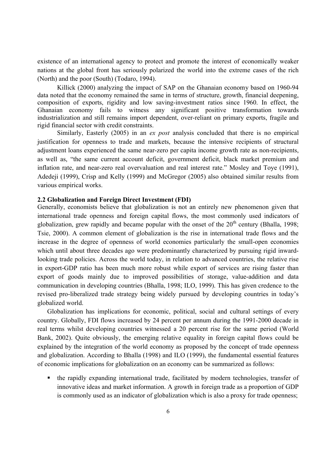existence of an international agency to protect and promote the interest of economically weaker nations at the global front has seriously polarized the world into the extreme cases of the rich (North) and the poor (South) (Todaro, 1994).

Killick (2000) analyzing the impact of SAP on the Ghanaian economy based on 1960-94 data noted that the economy remained the same in terms of structure, growth, financial deepening, composition of exports, rigidity and low saving-investment ratios since 1960. In effect, the Ghanaian economy fails to witness any significant positive transformation towards industrialization and still remains import dependent, over-reliant on primary exports, fragile and rigid financial sector with credit constraints.

Similarly, Easterly (2005) in an *ex post* analysis concluded that there is no empirical justification for openness to trade and markets, because the intensive recipients of structural adjustment loans experienced the same near-zero per capita income growth rate as non-recipients, as well as, "the same current account deficit, government deficit, black market premium and inflation rate, and near-zero real overvaluation and real interest rate." Mosley and Toye (1991), Adedeji (1999), Crisp and Kelly (1999) and McGregor (2005) also obtained similar results from various empirical works.

#### **2.2 Globalization and Foreign Direct Investment (FDI)**

Generally, economists believe that globalization is not an entirely new phenomenon given that international trade openness and foreign capital flows, the most commonly used indicators of globalization, grew rapidly and became popular with the onset of the  $20<sup>th</sup>$  century (Bhalla, 1998; Tsie, 2000). A common element of globalization is the rise in international trade flows and the increase in the degree of openness of world economies particularly the small-open economies which until about three decades ago were predominantly characterized by pursuing rigid inwardlooking trade policies. Across the world today, in relation to advanced countries, the relative rise in export-GDP ratio has been much more robust while export of services are rising faster than export of goods mainly due to improved possibilities of storage, value-addition and data communication in developing countries (Bhalla, 1998; ILO, 1999). This has given credence to the revised pro-liberalized trade strategy being widely pursued by developing countries in today's globalized world.

Globalization has implications for economic, political, social and cultural settings of every country. Globally, FDI flows increased by 24 percent per annum during the 1991-2000 decade in real terms whilst developing countries witnessed a 20 percent rise for the same period (World Bank, 2002). Quite obviously, the emerging relative equality in foreign capital flows could be explained by the integration of the world economy as proposed by the concept of trade openness and globalization. According to Bhalla (1998) and ILO (1999), the fundamental essential features of economic implications for globalization on an economy can be summarized as follows:

 the rapidly expanding international trade, facilitated by modern technologies, transfer of innovative ideas and market information. A growth in foreign trade as a proportion of GDP is commonly used as an indicator of globalization which is also a proxy for trade openness;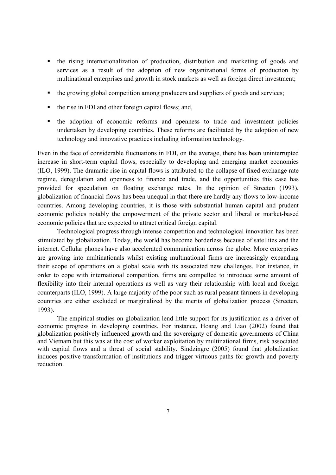- the rising internationalization of production, distribution and marketing of goods and services as a result of the adoption of new organizational forms of production by multinational enterprises and growth in stock markets as well as foreign direct investment;
- the growing global competition among producers and suppliers of goods and services;
- the rise in FDI and other foreign capital flows; and,
- the adoption of economic reforms and openness to trade and investment policies undertaken by developing countries. These reforms are facilitated by the adoption of new technology and innovative practices including information technology.

Even in the face of considerable fluctuations in FDI, on the average, there has been uninterrupted increase in short-term capital flows, especially to developing and emerging market economies (ILO, 1999). The dramatic rise in capital flows is attributed to the collapse of fixed exchange rate regime, deregulation and openness to finance and trade, and the opportunities this case has provided for speculation on floating exchange rates. In the opinion of Streeten (1993), globalization of financial flows has been unequal in that there are hardly any flows to low-income countries. Among developing countries, it is those with substantial human capital and prudent economic policies notably the empowerment of the private sector and liberal or market-based economic policies that are expected to attract critical foreign capital.

Technological progress through intense competition and technological innovation has been stimulated by globalization. Today, the world has become borderless because of satellites and the internet. Cellular phones have also accelerated communication across the globe. More enterprises are growing into multinationals whilst existing multinational firms are increasingly expanding their scope of operations on a global scale with its associated new challenges. For instance, in order to cope with international competition, firms are compelled to introduce some amount of flexibility into their internal operations as well as vary their relationship with local and foreign counterparts (ILO, 1999). A large majority of the poor such as rural peasant farmers in developing countries are either excluded or marginalized by the merits of globalization process (Streeten, 1993).

The empirical studies on globalization lend little support for its justification as a driver of economic progress in developing countries. For instance, Hoang and Liao (2002) found that globalization positively influenced growth and the sovereignty of domestic governments of China and Vietnam but this was at the cost of worker exploitation by multinational firms, risk associated with capital flows and a threat of social stability. Sindzingre (2005) found that globalization induces positive transformation of institutions and trigger virtuous paths for growth and poverty reduction.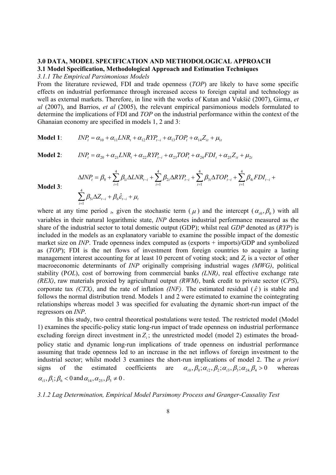# **3.0 DATA, MODEL SPECIFICATION AND METHODOLOGICAL APPROACH 3.1 Model Specification, Methodological Approach and Estimation Techniques**

*3.1.1 The Empirical Parsimonious Models*

From the literature reviewed, FDI and trade openness (*TOP*) are likely to have some specific effects on industrial performance through increased access to foreign capital and technology as well as external markets. Therefore, in line with the works of Kutan and Vukšić (2007), Girma, *et al* (2007), and Barrios, *et al* (2005), the relevant empirical parsimonious models formulated to determine the implications of FDI and *TOP* on the industrial performance within the context of the Ghanaian economy are specified in models 1, 2 and 3:

**Model 1**:  $INP_{t} = \alpha_{10} + \alpha_{11} LNR_{t} + \alpha_{12} RYP_{t-i} + \alpha_{13} TOP_{t} + \alpha_{14} Z_{it} + \mu_{14}$ 

**Model 2**:

 $INP_t = \alpha_{20} + \alpha_{21} LNR_t + \alpha_{22} RYP_{t-i} + \alpha_{23} TOP_t + \alpha_{24} FDI_t + \alpha_{25} Z_{it} + \mu_{25}$ 

$$
\begin{split} \Delta INP_{t} &= \beta_{0} + \sum_{i=1}^{4} \beta_{1i} \Delta LNR_{t-i} + \sum_{i=1}^{4} \beta_{2i} \Delta RYP_{t-i} + \sum_{i=1}^{4} \beta_{3i} \Delta TOP_{t-i} + \sum_{i=1}^{4} \beta_{4i} FDI_{t-i} + \\ & \sum_{i=1}^{4} \beta_{5i} \Delta Z_{t-i} + \beta_{6} \hat{\epsilon}_{t-i} + \mu_{t} \end{split}
$$

**Model 3**:

$$
\sum_{i=1}^{4} \beta_{5i} \Delta Z_{t-i} + \beta_6 \hat{\varepsilon}_{t-i} + \mu_t
$$

where at any time period  $\iota$ , given the stochastic term ( $\mu$ ) and the intercept ( $\alpha_{i0}, \beta_0$ ) with all variables in their natural logarithmic state, *INP* denotes industrial performance measured as the share of the industrial sector to total domestic output (GDP); whilst real *GDP* denoted as (*RYP*) is included in the models as an explanatory variable to examine the possible impact of the domestic market size on *INP*. Trade openness index computed as (exports + imports)/GDP and symbolized as (*TOP*); FDI is the net flows of investment from foreign countries to acquire a lasting management interest accounting for at least 10 percent of voting stock; and *Z<sup>i</sup>* is a vector of other macroeconomic determinants of *INP* originally comprising industrial wages *(MWG)*, political stability (P*OL*), cost of borrowing from commercial banks *(LNR)*, real effective exchange rate *(REX)*, raw materials proxied by agricultural output *(RWM)*, bank credit to private sector (*CPS*), corporate tax *(CTX)*, and the rate of inflation *(INF)*. The estimated residual  $(\hat{\varepsilon})$  is stable and follows the normal distribution trend. Models 1 and 2 were estimated to examine the cointegrating relationships whereas model 3 was specified for evaluating the dynamic short-run impact of the regressors on *INP*.

In this study, two central theoretical postulations were tested. The restricted model (Model 1) examines the specific-policy static long-run impact of trade openness on industrial performance excluding foreign direct investment in  $Z_i$ ; the unrestricted model (model 2) estimates the broadpolicy static and dynamic long-run implications of trade openness on industrial performance assuming that trade openness led to an increase in the net inflows of foreign investment to the industrial sector; whilst model 3 examines the short-run implications of model 2. The *a priori* signs of the estimated coefficients are  $\alpha_{i0}$ ,  $\beta_{0}$ ,  $\alpha_{i2}$ ,  $\beta_{2}$ ,  $\alpha_{i3}$ ,  $\beta_{3}$ ,  $\alpha_{i4}$ ,  $\beta_{4}$  > 0 whereas  $\alpha_{i_1}, \beta_{i_1}, \beta_{i_2} < 0$  and  $\alpha_{14}, \alpha_{25}, \beta_{5} \neq 0$ .

*3.1.2 Lag Determination, Empirical Model Parsimony Process and Granger-Causality Test*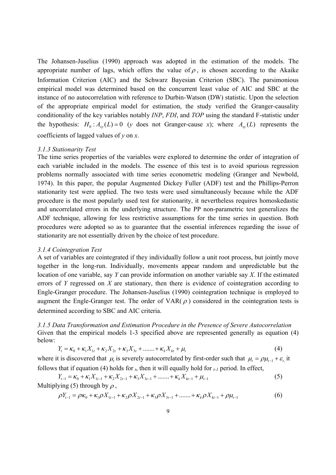The Johansen-Juselius (1990) approach was adopted in the estimation of the models. The appropriate number of lags, which offers the value of  $\rho$ , is chosen according to the Akaike Information Criterion (AIC) and the Schwarz Bayesian Criterion (SBC). The parsimonious empirical model was determined based on the concurrent least value of AIC and SBC at the instance of no autocorrelation with reference to Durbin-Watson (DW) statistic. Upon the selection of the appropriate empirical model for estimation, the study verified the Granger-causality conditionality of the key variables notably *INP*, *FDI*, and *TOP* using the standard F-statistic under the hypothesis:  $H_0: A_{xy}(L) = 0$  (*y* does not Granger-cause *x*); where  $A_{xy}(L)$  represents the coefficients of lagged values of *y* on *x*.

#### *3.1.3 Stationarity Test*

The time series properties of the variables were explored to determine the order of integration of each variable included in the models. The essence of this test is to avoid spurious regression problems normally associated with time series econometric modeling (Granger and Newbold, 1974). In this paper, the popular Augmented Dickey Fuller (ADF) test and the Phillips-Perron stationarity test were applied. The two tests were used simultaneously because while the ADF procedure is the most popularly used test for stationarity, it nevertheless requires homoskedastic and uncorrelated errors in the underlying structure. The PP non-parametric test generalizes the ADF technique, allowing for less restrictive assumptions for the time series in question. Both procedures were adopted so as to guarantee that the essential inferences regarding the issue of stationarity are not essentially driven by the choice of test procedure.

#### *3.1.4 Cointegration Test*

A set of variables are cointegrated if they individually follow a unit root process, but jointly move together in the long-run. Individually, movements appear random and unpredictable but the location of one variable, say *Y* can provide information on another variable say *X*. If the estimated errors of *Y* regressed on *X* are stationary, then there is evidence of cointegration according to Engle-Granger procedure. The Johansen-Juselius (1990) cointegration technique is employed to augment the Engle-Granger test. The order of VAR( $\rho$ ) considered in the cointegration tests is determined according to SBC and AIC criteria.

*3.1.5 Data Transformation and Estimation Procedure in the Presence of Severe Autocorrelation* Given that the empirical models 1-3 specified above are represented generally as equation (4) below:

$$
Y_{t} = \kappa_{0} + \kappa_{1}X_{1t} + \kappa_{2}X_{2t} + \kappa_{3}X_{3t} + \dots + \kappa_{k}X_{kt} + \mu_{t}
$$
\n(4)

where it is discovered that  $\mu_t$  is severely autocorrelated by first-order such that  $\mu_t = \rho \mu_{t-1} + \varepsilon_{t}$ , it follows that if equation (4) holds for  $<sub>t</sub>$ , then it will equally hold for  $<sub>t-1</sub>$  period. In effect,</sub></sub>

$$
Y_{t-1} = \kappa_0 + \kappa_1 X_{1t-1} + \kappa_2 X_{2t-1} + \kappa_3 X_{3t-1} + \dots + \kappa_k X_{kt-1} + \mu_{t-1}
$$
\n(5)  
\nMultiplying (5) through by  $\rho$ ,

$$
\rho Y_{t-1} = \rho \kappa_0 + \kappa_1 \rho X_{1t-1} + \kappa_2 \rho X_{2t-1} + \kappa_3 \rho X_{3t-1} + \dots + \kappa_k \rho X_{kt-1} + \rho \mu_{t-1}
$$
(6)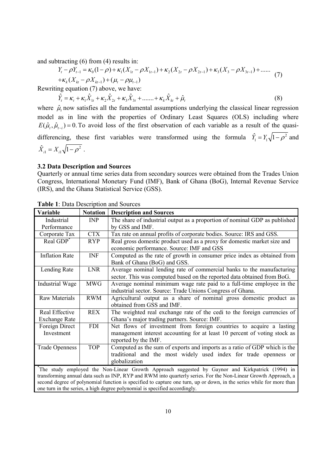and subtracting (6) from (4) results in:

$$
Y_{t} - \rho Y_{t-1} = \kappa_0 (1 - \rho) + \kappa_1 (X_{1t} - \rho X_{1t-1}) + \kappa_2 (X_{2t} - \rho X_{2t-1}) + \kappa_3 (X_3 - \rho X_{3t-1}) + \dots
$$
  
+  $\kappa_k (X_{kt} - \rho X_{kt-1}) + (\mu_t - \rho \mu_{t-1})$  (7)

Rewriting equation (7) above, we have:

$$
\hat{Y}_t = \kappa_t + \kappa_1 \hat{X}_{1t} + \kappa_2 \hat{X}_{2t} + \kappa_3 \hat{X}_{3t} + \dots + \kappa_k \hat{X}_{kt} + \hat{\mu}_t
$$
\n(8)

where  $\hat{\mu}$  now satisfies all the fundamental assumptions underlying the classical linear regression model as in line with the properties of Ordinary Least Squares (OLS) including where  $E(\hat{\mu}_t, \hat{\mu}_{t-i}) = 0$ . To avoid loss of the first observation of each variable as a result of the quasidifferencing, these first variables were transformed using the formula  $\hat{Y}_1 = Y_1 \sqrt{1 - \rho^2}$  and 2  $\hat{X}_{i1} = X_{i1} \sqrt{1 - \rho^2}$ .

#### **3.2 Data Description and Sources**

Quarterly or annual time series data from secondary sources were obtained from the Trades Union Congress, International Monetary Fund (IMF), Bank of Ghana (BoG), Internal Revenue Service (IRS), and the Ghana Statistical Service (GSS).

| Variable                     | <b>Notation</b> | <b>Description and Sources</b>                                                                                                                                                                                                                                                                                                                                                                                          |
|------------------------------|-----------------|-------------------------------------------------------------------------------------------------------------------------------------------------------------------------------------------------------------------------------------------------------------------------------------------------------------------------------------------------------------------------------------------------------------------------|
| Industrial                   | <b>INP</b>      | The share of industrial output as a proportion of nominal GDP as published                                                                                                                                                                                                                                                                                                                                              |
| Performance                  |                 | by GSS and IMF.                                                                                                                                                                                                                                                                                                                                                                                                         |
| Corporate Tax                | <b>CTX</b>      | Tax rate on annual profits of corporate bodies. Source: IRS and GSS.                                                                                                                                                                                                                                                                                                                                                    |
| Real GDP <sup>*</sup>        | <b>RYP</b>      | Real gross domestic product used as a proxy for domestic market size and<br>economic performance. Source: IMF and GSS                                                                                                                                                                                                                                                                                                   |
| <b>Inflation Rate</b>        | <b>INF</b>      | Computed as the rate of growth in consumer price index as obtained from<br>Bank of Ghana (BoG) and GSS.                                                                                                                                                                                                                                                                                                                 |
| Lending Rate                 | <b>LNR</b>      | Average nominal lending rate of commercial banks to the manufacturing<br>sector. This was computed based on the reported data obtained from BoG.                                                                                                                                                                                                                                                                        |
| Industrial Wage              | <b>MWG</b>      | Average nominal minimum wage rate paid to a full-time employee in the<br>industrial sector. Source: Trade Unions Congress of Ghana.                                                                                                                                                                                                                                                                                     |
| <b>Raw Materials</b>         | <b>RWM</b>      | Agricultural output as a share of nominal gross domestic product as<br>obtained from GSS and IMF.                                                                                                                                                                                                                                                                                                                       |
| Real Effective               | <b>REX</b>      | The weighted real exchange rate of the cedi to the foreign currencies of                                                                                                                                                                                                                                                                                                                                                |
| <b>Exchange Rate</b>         |                 | Ghana's major trading partners. Source: IMF.                                                                                                                                                                                                                                                                                                                                                                            |
| Foreign Direct<br>Investment | <b>FDI</b>      | Net flows of investment from foreign countries to acquire a lasting<br>management interest accounting for at least 10 percent of voting stock as<br>reported by the IMF.                                                                                                                                                                                                                                                |
| <b>Trade Openness</b>        | <b>TOP</b>      | Computed as the sum of exports and imports as a ratio of GDP which is the<br>traditional and the most widely used index for trade openness or<br>globalization                                                                                                                                                                                                                                                          |
|                              |                 | The study employed the Non-Linear Growth Approach suggested by Gaynor and Kirkpatrick (1994) in<br>transforming annual data such as INP, RYP and RWM into quarterly series. For the Non-Linear Growth Approach, a<br>second degree of polynomial function is specified to capture one turn, up or down, in the series while for more than<br>one turn in the series, a high degree polynomial is specified accordingly. |

**Table 1**: Data Description and Sources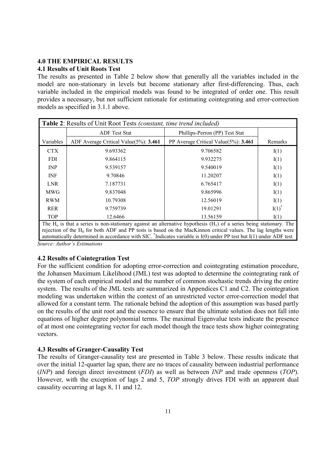# **4.0 THE EMPIRICAL RESULTS**

### **4.1 Results of Unit Roots Test**

The results as presented in Table 2 below show that generally all the variables included in the model are non-stationary in levels but become stationary after first-differencing. Thus, each variable included in the empirical models was found to be integrated of order one. This result provides a necessary, but not sufficient rationale for estimating cointegrating and error-correction models as specified in 3.1.1 above.

| Table 2: Results of Unit Root Tests (constant, time trend included) |                                            |                                           |                                        |  |  |  |
|---------------------------------------------------------------------|--------------------------------------------|-------------------------------------------|----------------------------------------|--|--|--|
|                                                                     | <b>ADF</b> Test Stat                       | Phillips-Perron (PP) Test Stat            |                                        |  |  |  |
| Variables                                                           | ADF Average Critical Value $(5\%)$ : 3.461 | PP Average Critical Value $(5\%)$ : 3.461 | Remarks                                |  |  |  |
| <b>CTX</b>                                                          | 9.693362                                   | 9.706582                                  | I(1)                                   |  |  |  |
| <b>FDI</b>                                                          | 9.864115                                   | 9.932275                                  | I(1)                                   |  |  |  |
| <b>INP</b>                                                          | 9.539157                                   | 9.540019                                  | I(1)                                   |  |  |  |
| <b>INF</b>                                                          | 9.70846                                    | 11.20207                                  | I(1)                                   |  |  |  |
| <b>LNR</b>                                                          | 7.187731                                   | 6.765417                                  | I(1)                                   |  |  |  |
| <b>MWG</b>                                                          | 9.837048                                   | 9.865996                                  | I(1)                                   |  |  |  |
| <b>RWM</b>                                                          | 10.79308                                   | 12.56019                                  | I(1)                                   |  |  |  |
| <b>RER</b>                                                          | 9.759739                                   | 19.01291                                  | $I(1)$ <sup><math>\dot{ }</math></sup> |  |  |  |
| <b>TOP</b>                                                          | 12.6466                                    | 13.56159                                  | I(1)                                   |  |  |  |

The  $H_0$  is that a series is non-stationary against an alternative hypothesis ( $H_1$ ) of a series being stationary. The rejection of the H<sub>0</sub> for both ADF and PP tests is based on the MacKinnon critical values. The lag lengths were automatically determined in accordance with SIC. \* Indicates variable is I(0) under PP test but I(1) under ADF test *Source: Author's Estimations*

# **4.2 Results of Cointegration Test**

For the sufficient condition for adopting error-correction and cointegrating estimation procedure, the Johansen Maximum Likelihood (JML) test was adopted to determine the cointegrating rank of the system of each empirical model and the number of common stochastic trends driving the entire system. The results of the JML tests are summarized in Appendices C1 and C2. The cointegration modeling was undertaken within the context of an unrestricted vector error-correction model that allowed for a constant term. The rationale behind the adoption of this assumption was based partly on the results of the unit root and the essence to ensure that the ultimate solution does not fall into equations of higher degree polynomial terms. The maximal Eigenvalue tests indicate the presence of at most one cointegrating vector for each model though the trace tests show higher cointegrating vectors.

# **4.3 Results of Granger-Causality Test**

The results of Granger-causality test are presented in Table 3 below. These results indicate that over the initial 12-quarter lag span, there are no traces of causality between industrial performance (*INP*) and foreign direct investment (*FDI*) as well as between *INP* and trade openness (*TOP*). However, with the exception of lags 2 and 5, *TOP* strongly drives FDI with an apparent dual causality occurring at lags 8, 11 and 12.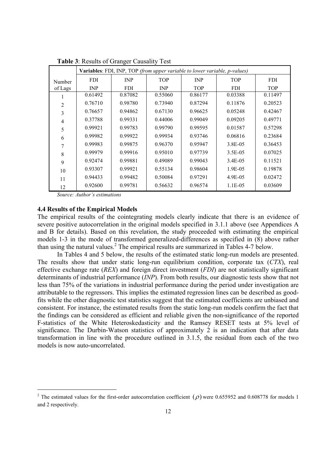|                | Variables: FDI, INP, TOP (from upper variable to lower variable, p-values) |            |            |            |            |            |  |  |  |
|----------------|----------------------------------------------------------------------------|------------|------------|------------|------------|------------|--|--|--|
| Number         | <b>FDI</b>                                                                 | INP        | <b>TOP</b> | INP        | <b>TOP</b> | <b>FDI</b> |  |  |  |
| of Lags        | INP                                                                        | <b>FDI</b> | <b>INP</b> | <b>TOP</b> | <b>FDI</b> | <b>TOP</b> |  |  |  |
|                | 0.61492                                                                    | 0.87082    | 0.55060    | 0.86177    | 0.03388    | 0.11497    |  |  |  |
| $\overline{2}$ | 0.76710                                                                    | 0.98780    | 0.73940    | 0.87294    | 0.11876    | 0.20523    |  |  |  |
| 3              | 0.76657                                                                    | 0.94862    | 0.67130    | 0.96625    | 0.05248    | 0.42467    |  |  |  |
| $\overline{4}$ | 0.37788                                                                    | 0.99331    | 0.44006    | 0.99049    | 0.09205    | 0.49771    |  |  |  |
| 5              | 0.99921                                                                    | 0.99783    | 0.99790    | 0.99595    | 0.01587    | 0.57298    |  |  |  |
| 6              | 0.99982                                                                    | 0.99922    | 0.99934    | 0.93746    | 0.06816    | 0.23684    |  |  |  |
| 7              | 0.99983                                                                    | 0.99875    | 0.96370    | 0.95947    | 3.8E-05    | 0.36453    |  |  |  |
| 8              | 0.99979                                                                    | 0.99916    | 0.95010    | 0.97739    | 3.5E-05    | 0.07025    |  |  |  |
| 9              | 0.92474                                                                    | 0.99881    | 0.49089    | 0.99043    | 3.4E-05    | 0.11521    |  |  |  |
| 10             | 0.93307                                                                    | 0.99921    | 0.55134    | 0.98604    | 1.9E-05    | 0.19878    |  |  |  |
| 11             | 0.94433                                                                    | 0.99482    | 0.50084    | 0.97291    | 4.9E-05    | 0.02472    |  |  |  |
| 12             | 0.92600                                                                    | 0.99781    | 0.56632    | 0.96574    | 1.1E-05    | 0.03609    |  |  |  |

**Table 3**: Results of Granger Causality Test

*Source: Author's estimations*

#### **4.4 Results of the Empirical Models**

 $\overline{a}$ 

The empirical results of the cointegrating models clearly indicate that there is an evidence of severe positive autocorrelation in the original models specified in 3.1.1 above (see Appendices A and B for details). Based on this revelation, the study proceeded with estimating the empirical models 1-3 in the mode of transformed generalized-differences as specified in (8) above rather than using the natural values.<sup>2</sup> The empirical results are summarized in Tables 4-7 below.

In Tables 4 and 5 below, the results of the estimated static long-run models are presented. The results show that under static long-run equilibrium condition, corporate tax (*CTX*), real effective exchange rate (*REX*) and foreign direct investment (*FDI*) are not statistically significant determinants of industrial performance (*INP*). From both results, our diagnostic tests show that not less than 75% of the variations in industrial performance during the period under investigation are attributable to the regressors. This implies the estimated regression lines can be described as goodfits while the other diagnostic test statistics suggest that the estimated coefficients are unbiased and consistent. For instance, the estimated results from the static long-run models confirm the fact that the findings can be considered as efficient and reliable given the non-significance of the reported F-statistics of the White Heteroskedasticity and the Ramsey RESET tests at 5% level of significance. The Durbin-Watson statistics of approximately 2 is an indication that after data transformation in line with the procedure outlined in 3.1.5, the residual from each of the two models is now auto-uncorrelated.

<sup>&</sup>lt;sup>2</sup> The estimated values for the first-order autocorrelation coefficient  $(\rho)$  were 0.655952 and 0.608778 for models 1 and 2 respectively.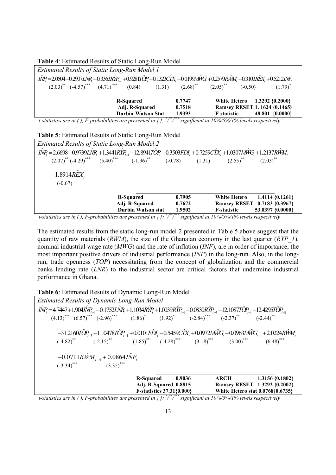| <b>Table 4.</b> Estimated Results of Static Long-Run Model                                                                                                                                                                                                    |                           |        |                              |                               |
|---------------------------------------------------------------------------------------------------------------------------------------------------------------------------------------------------------------------------------------------------------------|---------------------------|--------|------------------------------|-------------------------------|
| <b>Estimated Results of Static Long-Run Model 1</b>                                                                                                                                                                                                           |                           |        |                              |                               |
| $\hat{INP}_r = 2.0504 - 0.2907L\hat{N}R + 0.3363R\hat{Y}P_{r-1} + 0.9281T\hat{O}P_r + 0.1323C\hat{X}X_r + 0.0199M\hat{W}G_r + 0.2579R\hat{W}M_r - 0.3103R\hat{E}X_r + 0.5212N\hat{F}$                                                                         |                           |        |                              |                               |
| $(2.03)^{**}$ $(-4.57)^{***}$ $(4.71)^{***}$ $(0.84)$ $(1.31)$ $(2.68)^{**}$ $(2.05)^{**}$                                                                                                                                                                    |                           |        | $(-0.50)$                    | $(1.79)^*$                    |
|                                                                                                                                                                                                                                                               |                           |        |                              |                               |
|                                                                                                                                                                                                                                                               | <b>R-Squared</b>          | 0.7747 | White Hetero 1.3292 {0.2000} |                               |
|                                                                                                                                                                                                                                                               | Adj. R-Squared            | 0.7518 |                              | Ramsey RESET 1. 1624 {0.1465} |
|                                                                                                                                                                                                                                                               | <b>Durbin-Watson Stat</b> | 1.9393 | <b>F-statistic</b>           | 48.801 {0.0000}               |
| $\mu$ , $\mu$ , $\mu$ , $\mu$ , $\mu$ , $\mu$ , $\mu$ , $\mu$ , $\mu$ , $\mu$ , $\mu$ , $\mu$ , $\mu$ , $\mu$ , $\mu$ , $\mu$ , $\mu$ , $\mu$ , $\mu$ , $\mu$ , $\mu$ , $\mu$ , $\mu$ , $\mu$ , $\mu$ , $\mu$ , $\mu$ , $\mu$ , $\mu$ , $\mu$ , $\mu$ , $\mu$ |                           |        |                              |                               |

**Table 4**: Estimated Results of Static Long-Run Model

*t-statistics are in ( ), F-probabilities are presented in { }; \* / \*\*/ \*\*\* significant at 10%/5%/1% levels respectively*

|                                      | Table 5: Estimated Results of Static Long-Run Model                                                                                                                                                                                                                                                                                                                                                                                      |        |                              |                     |
|--------------------------------------|------------------------------------------------------------------------------------------------------------------------------------------------------------------------------------------------------------------------------------------------------------------------------------------------------------------------------------------------------------------------------------------------------------------------------------------|--------|------------------------------|---------------------|
|                                      | <b>Estimated Results of Static Long-Run Model 2</b>                                                                                                                                                                                                                                                                                                                                                                                      |        |                              |                     |
|                                      | $I\hat{N}P_r = 2.6698 - 0.9739L\hat{N}R_r + 1.3441R\hat{Y}P_{r-1} - 12.8941T\hat{O}P_r - 0.3503FDI_r + 0.7259C\hat{Y}X_r + 1.0307M\hat{W}G_r + 1.2137R\hat{W}M_r$                                                                                                                                                                                                                                                                        |        |                              |                     |
|                                      | $(2.07)^{**}$ $(-4.29)^{***}$ $(5.40)^{***}$ $(-1.96)^{**}$ $(-0.78)$ $(1.31)$ $(2.55)^{**}$ $(2.03)^{**}$                                                                                                                                                                                                                                                                                                                               |        |                              |                     |
| $-1.8914$ REX                        |                                                                                                                                                                                                                                                                                                                                                                                                                                          |        |                              |                     |
|                                      |                                                                                                                                                                                                                                                                                                                                                                                                                                          |        |                              |                     |
| $(-0.67)$                            |                                                                                                                                                                                                                                                                                                                                                                                                                                          |        |                              |                     |
|                                      | <b>R-Squared</b>                                                                                                                                                                                                                                                                                                                                                                                                                         | 0.7905 | <b>White Hetero</b>          | $1.4114 \{0.1261\}$ |
|                                      | Adj. R-Squared                                                                                                                                                                                                                                                                                                                                                                                                                           | 0.7672 | Ramsey RESET 0.7183 {0.3967} |                     |
|                                      | <b>Durbin Watson stat</b>                                                                                                                                                                                                                                                                                                                                                                                                                | 1.9502 | <b>F-statistic</b>           | 53.0397 {0.0000}    |
| $\cdot$ $\cdot$ $\cdot$ $\cdot$<br>. | $\mathbf{1} \cdot \mathbf{1} \cdot \mathbf{1}$ $\mathbf{1} \cdot \mathbf{1}$ $\mathbf{1} \cdot \mathbf{1}$ $\mathbf{1} \cdot \mathbf{1}$ $\mathbf{1} \cdot \mathbf{1}$ $\mathbf{1} \cdot \mathbf{1}$ $\mathbf{1} \cdot \mathbf{1}$ $\mathbf{1} \cdot \mathbf{1}$ $\mathbf{1} \cdot \mathbf{1}$ $\mathbf{1} \cdot \mathbf{1}$ $\mathbf{1} \cdot \mathbf{1}$ $\mathbf{1} \cdot \mathbf{1}$ $\mathbf{1} \cdot$<br>$1 \quad 1 \quad 1 \quad$ |        |                              |                     |

*t-statistics are in ( ), F-probabilities are presented in { }; \* / \*\*/ \*\*\* significant at 10%/5%/1% levels respectively*

The estimated results from the static long-run model 2 presented in Table 5 above suggest that the quantity of raw materials (*RWM*), the size of the Ghanaian economy in the last quarter (*RYP\_1*), nominal industrial wage rate (*MWG*) and the rate of inflation (*INF*), are in order of importance, the most important positive drivers of industrial performance (*INP*) in the long-run. Also, in the longrun, trade openness (*TOP*) necessitating from the concept of globalization and the commercial banks lending rate (*LNR*) to the industrial sector are critical factors that undermine industrial performance in Ghana.

**Table 6**: Estimated Results of Dynamic Long-Run Model

*Estimated Results of Dynamic Long-Run Model*   $\hat{MP}_t = 4.7447 + 1.904 \hat{IN} P_{t-1} - 0.1752 \hat{LN} R_t + 1.1034 \hat{RP}_t + 1.0039 \hat{RP}_{t-1} - 0.0830 \hat{RP}_{t-4} - 12.1087 \hat{TO} P_{t-1} - 12.4295 \hat{TO} P_{t-2}$  $(4.13)$ <sup>\*\*\*</sup>  $(6.57)$ <sup>\*\*\*</sup>  $(-2.96)$ <sup>\*\*\*</sup>  $(1.86)$ <sup>\*</sup>  $(1.92)$ <sup>\*</sup>  $(-2.84)$ <sup>\*\*</sup>  $(-2.37)$ <sup>\*\*</sup>  $(-2.44)$ <sup>\*\*</sup>  $-31.2160T\hat{O}P_{_{t-3}}-11.0478T\hat{O}P_{_{t-4}}+0.0101F\hat{D}I_{_{t}}-0.5459C\hat{I}X_{_{t}}+0.0972M\hat{W}G_{_{t}}+0.0963M\hat{W}G_{_{t-4}}+2.0224R\hat{W}M_{_{t}}$  $(-4.82)^{**}$   $(-2.15)^{**}$   $(1.85)^{**}$   $(-4.28)^{***}$   $(3.18)^{***}$   $(3.00)^{**}$   $(6.48)^{***}$  $-0.0711R\hat{W}M_{t-4} + 0.0864I\hat{N}F_{t}$  $(-3.34)$ <sup>\*\*\*</sup>  $(3.35)$ <sup>\*\*\*</sup> **R-Squared 0.9036 ARCH 1.3156 {0.1802} Adj. R-Squared 0.8815 Ramsey RESET 1.3292 {0.2002} F-statistics 37.31{0.000} White Hetero stat 0.0768{0.6735}**

*t-statistics are in ( ), F-probabilities are presented in { }; \* / \*\*/ \*\*\* significant at 10%/5%/1% levels respectively*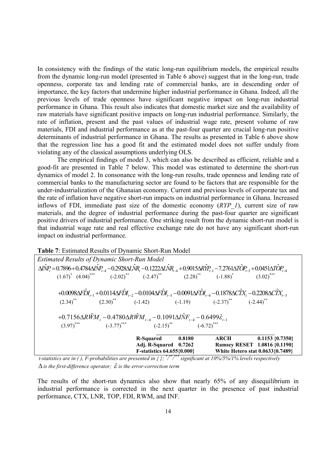In consistency with the findings of the static long-run equilibrium models, the empirical results from the dynamic long-run model (presented in Table 6 above) suggest that in the long-run, trade openness, corporate tax and lending rate of commercial banks, are in descending order of importance, the key factors that undermine higher industrial performance in Ghana. Indeed, all the previous levels of trade openness have significant negative impact on long-run industrial performance in Ghana. This result also indicates that domestic market size and the availability of raw materials have significant positive impacts on long-run industrial performance. Similarly, the rate of inflation, present and the past values of industrial wage rate, present volume of raw materials, FDI and industrial performance as at the past-four quarter are crucial long-run positive determinants of industrial performance in Ghana. The results as presented in Table 6 above show that the regression line has a good fit and the estimated model does not suffer unduly from violating any of the classical assumptions underlying OLS.

The empirical findings of model 3, which can also be described as efficient, reliable and a good-fit are presented in Table 7 below. This model was estimated to determine the short-run dynamics of model 2. In consonance with the long-run results, trade openness and lending rate of commercial banks to the manufacturing sector are found to be factors that are responsible for the under-industrialization of the Ghanaian economy. Current and previous levels of corporate tax and the rate of inflation have negative short-run impacts on industrial performance in Ghana. Increased inflows of FDI, immediate past size of the domestic economy (*RYP\_1*), current size of raw materials, and the degree of industrial performance during the past-four quarter are significant positive drivers of industrial performance. One striking result from the dynamic short-run model is that industrial wage rate and real effective exchange rate do not have any significant short-run impact on industrial performance.

|                                                     |  | Table 7: Estimated Results of Dynamic Short-Run Model                                                                                                                                                                                                                                                                                       |        |                                                                  |
|-----------------------------------------------------|--|---------------------------------------------------------------------------------------------------------------------------------------------------------------------------------------------------------------------------------------------------------------------------------------------------------------------------------------------|--------|------------------------------------------------------------------|
| <b>Estimated Results of Dynamic Short-Run Model</b> |  |                                                                                                                                                                                                                                                                                                                                             |        |                                                                  |
|                                                     |  | $\Delta \hat{N}P_t = 0.7896 + 0.4784 \Delta \hat{N}P_{t-4} - 0.2928 \Delta \hat{N}R_t - 0.1222 \Delta \hat{N}R_{t-4} + 0.9015 \Delta R \hat{Y}P_{t-1} - 7.2761 \Delta \hat{Y} \hat{O}P_{t-3} + 0.0451 \Delta \hat{Y} \hat{O}P_{t-4}$<br>$(1.67)^{*}$ $(4.04)^{***}$ $(-2.02)^{*}$ $(-2.47)^{**}$ $(2.28)^{**}$ $(-1.88)^{*}$ $(3.02)^{***}$ |        |                                                                  |
|                                                     |  |                                                                                                                                                                                                                                                                                                                                             |        |                                                                  |
|                                                     |  | +0.0098 $\Delta F\hat{D}I_{t-1}$ +0.0114 $\Delta F\hat{D}I_{t-2}$ -0.0104 $\Delta F\hat{D}I_{t-3}$ -0.0091 $\Delta F\hat{D}I_{t-4}$ -0.1878 $\Delta C\hat{I}X_t$ -0.2208 $\Delta C\hat{I}X_{t-3}$                                                                                                                                           |        |                                                                  |
|                                                     |  | $(2.34)$ <sup>**</sup> $(2.30)$ <sup>**</sup> $(-1.42)$ $(-1.19)$ $(-2.37)$ <sup>**</sup> $(-2.44)$ <sup>**</sup>                                                                                                                                                                                                                           |        |                                                                  |
|                                                     |  | +0.7156 $\Delta R\hat{W}M_t$ - 0.4780 $\Delta R\hat{W}M_{t-4}$ - 0.1091 $\Delta I\hat{N}F_{t-4}$ - 0.6499 $\hat{\varepsilon}_{t-1}$                                                                                                                                                                                                         |        |                                                                  |
|                                                     |  | $\left(3.97\right)^{***}$ $\left(-3.77\right)^{***}$ $\left(-2.15\right)^{**}$ $\left(-6.72\right)^{***}$                                                                                                                                                                                                                                   |        |                                                                  |
|                                                     |  | <b>R-Squared</b>                                                                                                                                                                                                                                                                                                                            | 0.8180 | ARCH 0.1153 {0.7350}                                             |
|                                                     |  | Adj. R-Squared 0.7262<br>F-statistics 64.655{0.000}                                                                                                                                                                                                                                                                                         |        | Ramsey RESET 1.0816 {0.1190}<br>White Hetero stat 0.0633{0.7489} |
|                                                     |  |                                                                                                                                                                                                                                                                                                                                             |        |                                                                  |

*t-statistics are in ( ), F-probabilities are presented in { }; \* / \*\*/ \*\*\* significant at 10%/5%/1% levels respectively*  $\Delta$  *is the first-difference operator;*  $\hat{\varepsilon}$  *is the error-correction term* 

The results of the short-run dynamics also show that nearly 65% of any disequilibrium in industrial performance is corrected in the next quarter in the presence of past industrial performance, CTX, LNR, TOP, FDI, RWM, and INF.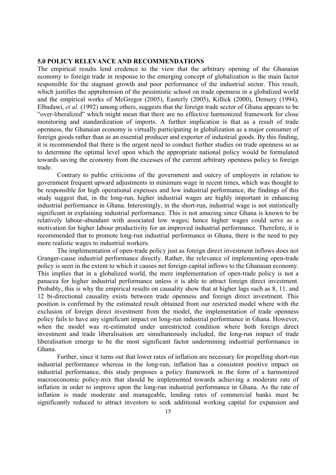#### **5.0 POLICY RELEVANCE AND RECOMMENDATIONS**

The empirical results lend credence to the view that the arbitrary opening of the Ghanaian economy to foreign trade in response to the emerging concept of globalization is the main factor responsible for the stagnant growth and poor performance of the industrial sector. This result, which justifies the apprehension of the pessimistic school on trade openness in a globalized world and the empirical works of McGregor (2005), Easterly (2005), Killick (2000), Demery (1994), Elbadawi, *et al.* (1992) among others, suggests that the foreign trade sector of Ghana appears to be "over-liberalized" which might mean that there are no effective harmonized framework for close monitoring and standardization of imports. A further implication is that as a result of trade openness, the Ghanaian economy is virtually participating in globalization as a major consumer of foreign goods rather than as an essential producer and exporter of industrial goods. By this finding, it is recommended that there is the urgent need to conduct further studies on trade openness so as to determine the optimal level upon which the appropriate national policy would be formulated towards saving the economy from the excesses of the current arbitrary openness policy to foreign trade.

Contrary to public criticisms of the government and outcry of employers in relation to government frequent upward adjustments in minimum wage in recent times, which was thought to be responsible for high operational expenses and low industrial performance, the findings of this study suggest that, in the long-run, higher industrial wages are highly important in enhancing industrial performance in Ghana. Interestingly, in the short-run, industrial wage is not statistically significant in explaining industrial performance. This is not amazing since Ghana is known to be relatively labour-abundant with associated low wages; hence higher wages could serve as a motivation for higher labour productivity for an improved industrial performance. Therefore, it is recommended that to promote long-run industrial performance in Ghana, there is the need to pay more realistic wages to industrial workers.

The implementation of open-trade policy just as foreign direct investment inflows does not Granger-cause industrial performance directly. Rather, the relevance of implementing open-trade policy is seen in the extent to which it causes net foreign capital inflows to the Ghanaian economy. This implies that in a globalized world, the mere implementation of open-trade policy is not a panacea for higher industrial performance unless it is able to attract foreign direct investment. Probably, this is why the empirical results on causality show that at higher lags such as 8, 11, and 12 bi-directional causality exists between trade openness and foreign direct investment. This position is confirmed by the estimated result obtained from our restricted model where with the exclusion of foreign direct investment from the model, the implementation of trade openness policy fails to have any significant impact on long-run industrial performance in Ghana. However, when the model was re-estimated under unrestricted condition where both foreign direct investment and trade liberalisation are simultaneously included, the long-run impact of trade liberalisation emerge to be the most significant factor undermining industrial performance in Ghana.

Further, since it turns out that lower rates of inflation are necessary for propelling short-run industrial performance whereas in the long-run, inflation has a consistent positive impact on industrial performance, this study proposes a policy framework in the form of a harmonized macroeconomic policy-mix that should be implemented towards achieving a moderate rate of inflation in order to improve upon the long-run industrial performance in Ghana. As the rate of inflation is made moderate and manageable, lending rates of commercial banks must be significantly reduced to attract investors to seek additional working capital for expansion and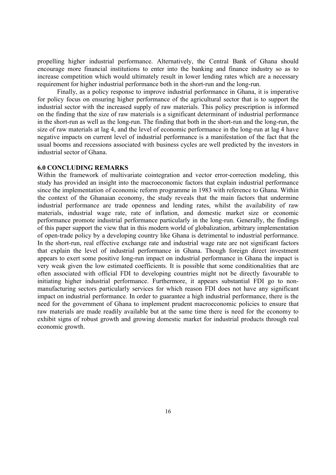propelling higher industrial performance. Alternatively, the Central Bank of Ghana should encourage more financial institutions to enter into the banking and finance industry so as to increase competition which would ultimately result in lower lending rates which are a necessary requirement for higher industrial performance both in the short-run and the long-run.

Finally, as a policy response to improve industrial performance in Ghana, it is imperative for policy focus on ensuring higher performance of the agricultural sector that is to support the industrial sector with the increased supply of raw materials. This policy prescription is informed on the finding that the size of raw materials is a significant determinant of industrial performance in the short-run as well as the long-run. The finding that both in the short-run and the long-run, the size of raw materials at lag 4, and the level of economic performance in the long-run at lag 4 have negative impacts on current level of industrial performance is a manifestation of the fact that the usual booms and recessions associated with business cycles are well predicted by the investors in industrial sector of Ghana.

#### **6.0 CONCLUDING REMARKS**

Within the framework of multivariate cointegration and vector error-correction modeling, this study has provided an insight into the macroeconomic factors that explain industrial performance since the implementation of economic reform programme in 1983 with reference to Ghana. Within the context of the Ghanaian economy, the study reveals that the main factors that undermine industrial performance are trade openness and lending rates, whilst the availability of raw materials, industrial wage rate, rate of inflation, and domestic market size or economic performance promote industrial performance particularly in the long-run. Generally, the findings of this paper support the view that in this modern world of globalization, arbitrary implementation of open-trade policy by a developing country like Ghana is detrimental to industrial performance. In the short-run, real effective exchange rate and industrial wage rate are not significant factors that explain the level of industrial performance in Ghana. Though foreign direct investment appears to exert some positive long-run impact on industrial performance in Ghana the impact is very weak given the low estimated coefficients. It is possible that some conditionalities that are often associated with official FDI to developing countries might not be directly favourable to initiating higher industrial performance. Furthermore, it appears substantial FDI go to nonmanufacturing sectors particularly services for which reason FDI does not have any significant impact on industrial performance. In order to guarantee a high industrial performance, there is the need for the government of Ghana to implement prudent macroeconomic policies to ensure that raw materials are made readily available but at the same time there is need for the economy to exhibit signs of robust growth and growing domestic market for industrial products through real economic growth.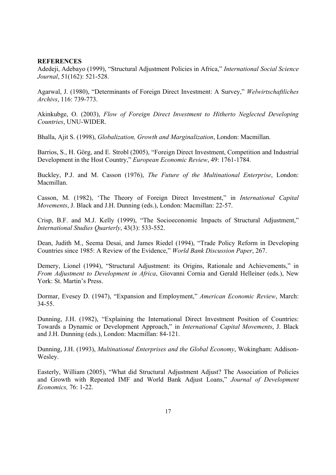#### **REFERENCES**

Adedeji, Adebayo (1999), "Structural Adjustment Policies in Africa," *International Social Science Journal*, 51(162): 521-528.

Agarwal, J. (1980), "Determinants of Foreign Direct Investment: A Survey," *Welwirtschaftliches Archivs*, 116: 739-773.

Akinkubge, O. (2003), *Flow of Foreign Direct Investment to Hitherto Neglected Developing Countries*, UNU-WIDER.

Bhalla, Ajit S. (1998), *Globalization, Growth and Marginalization*, London: Macmillan.

Barrios, S., H. Görg, and E. Strobl (2005), "Foreign Direct Investment, Competition and Industrial Development in the Host Country," *European Economic Review*, 49: 1761-1784.

Buckley, P.J. and M. Casson (1976), *The Future of the Multinational Enterprise*, London: Macmillan.

Casson, M. (1982), 'The Theory of Foreign Direct Investment," in *International Capital Movements*, J. Black and J.H. Dunning (eds.), London: Macmillan: 22-57.

Crisp, B.F. and M.J. Kelly (1999), "The Socioeconomic Impacts of Structural Adjustment," *International Studies Quarterly*, 43(3): 533-552.

Dean, Judith M., Seema Desai, and James Riedel (1994), "Trade Policy Reform in Developing Countries since 1985: A Review of the Evidence," *World Bank Discussion Paper*, 267.

Demery, Lionel (1994), "Structural Adjustment: its Origins, Rationale and Achievements," in *From Adjustment to Development in Africa*, Giovanni Cornia and Gerald Helleiner (eds.), New York: St. Martin's Press.

Dormar, Evesey D. (1947), "Expansion and Employment," *American Economic Review*, March: 34-55.

Dunning, J.H. (1982), "Explaining the International Direct Investment Position of Countries: Towards a Dynamic or Development Approach," in *International Capital Movements*, J. Black and J.H. Dunning (eds.), London: Macmillan: 84-121.

Dunning, J.H. (1993), *Multinational Enterprises and the Global Economy*, Wokingham: Addison-Wesley.

Easterly, William (2005), "What did Structural Adjustment Adjust? The Association of Policies and Growth with Repeated IMF and World Bank Adjust Loans," *Journal of Development Economics,* 76: 1-22.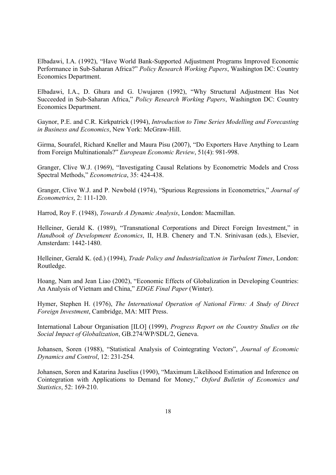Elbadawi, I.A. (1992), "Have World Bank-Supported Adjustment Programs Improved Economic Performance in Sub-Saharan Africa?" *Policy Research Working Papers*, Washington DC: Country Economics Department.

Elbadawi, I.A., D. Ghura and G. Uwujaren (1992), "Why Structural Adjustment Has Not Succeeded in Sub-Saharan Africa," *Policy Research Working Papers*, Washington DC: Country Economics Department.

Gaynor, P.E. and C.R. Kirkpatrick (1994), *Introduction to Time Series Modelling and Forecasting in Business and Economics*, New York: McGraw-Hill.

Girma, Sourafel, Richard Kneller and Maura Pisu (2007), "Do Exporters Have Anything to Learn from Foreign Multinationals?" *European Economic Review*, 51(4): 981-998.

Granger, Clive W.J. (1969), "Investigating Causal Relations by Econometric Models and Cross Spectral Methods," *Econometrica*, 35: 424-438.

Granger, Clive W.J. and P. Newbold (1974), "Spurious Regressions in Econometrics," *Journal of Econometrics*, 2: 111-120.

Harrod, Roy F. (1948), *Towards A Dynamic Analysis*, London: Macmillan.

Helleiner, Gerald K. (1989), "Transnational Corporations and Direct Foreign Investment," in *Handbook of Development Economics*, II, H.B. Chenery and T.N. Srinivasan (eds.), Elsevier, Amsterdam: 1442-1480.

Helleiner, Gerald K. (ed.) (1994), *Trade Policy and Industrialization in Turbulent Times*, London: Routledge.

Hoang, Nam and Jean Liao (2002), "Economic Effects of Globalization in Developing Countries: An Analysis of Vietnam and China," *EDGE Final Paper* (Winter).

Hymer, Stephen H. (1976), *The International Operation of National Firms: A Study of Direct Foreign Investment*, Cambridge, MA: MIT Press.

International Labour Organisation [ILO] (1999), *Progress Report on the Country Studies on the Social Impact of Globalization*, GB.274/WP/SDL/2, Geneva.

Johansen, Soren (1988), "Statistical Analysis of Cointegrating Vectors", *Journal of Economic Dynamics and Control*, 12: 231-254.

Johansen, Soren and Katarina Juselius (1990), "Maximum Likelihood Estimation and Inference on Cointegration with Applications to Demand for Money," *Oxford Bulletin of Economics and Statistics*, 52: 169-210.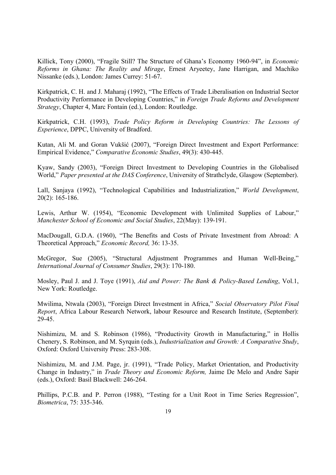Killick, Tony (2000), "Fragile Still? The Structure of Ghana's Economy 1960-94", in *Economic Reforms in Ghana: The Reality and Mirage*, Ernest Aryeetey, Jane Harrigan, and Machiko Nissanke (eds.), London: James Currey: 51-67.

Kirkpatrick, C. H. and J. Maharaj (1992), "The Effects of Trade Liberalisation on Industrial Sector Productivity Performance in Developing Countries," in *Foreign Trade Reforms and Development Strategy*, Chapter 4, Marc Fontain (ed.), London: Routledge.

Kirkpatrick, C.H. (1993), *Trade Policy Reform in Developing Countries: The Lessons of Experience*, DPPC, University of Bradford.

Kutan, Ali M. and Goran Vukšić (2007), "Foreign Direct Investment and Export Performance: Empirical Evidence," *Comparative Economic Studies*, 49(3): 430-445.

Kyaw, Sandy (2003), "Foreign Direct Investment to Developing Countries in the Globalised World," *Paper presented at the DAS Conference*, University of Strathclyde, Glasgow (September).

Lall, Sanjaya (1992), "Technological Capabilities and Industrialization," *World Development*, 20(2): 165-186.

Lewis, Arthur W. (1954), "Economic Development with Unlimited Supplies of Labour," *Manchester School of Economic and Social Studies*, 22(May): 139-191.

MacDougall, G.D.A. (1960), "The Benefits and Costs of Private Investment from Abroad: A Theoretical Approach," *Economic Record,* 36: 13-35.

McGregor, Sue (2005), "Structural Adjustment Programmes and Human Well-Being," *International Journal of Consumer Studies*, 29(3): 170-180.

Mosley, Paul J. and J. Toye (1991), *Aid and Power: The Bank & Policy-Based Lending*, Vol.1, New York: Routledge.

Mwilima, Ntwala (2003), "Foreign Direct Investment in Africa," *Social Observatory Pilot Final Report*, Africa Labour Research Network, labour Resource and Research Institute, (September):  $29-45$ .

Nishimizu, M. and S. Robinson (1986), "Productivity Growth in Manufacturing," in Hollis Chenery, S. Robinson, and M. Syrquin (eds.), *Industrialization and Growth: A Comparative Study*, Oxford: Oxford University Press: 283-308.

Nishimizu, M. and J.M. Page, jr. (1991), "Trade Policy, Market Orientation, and Productivity Change in Industry," in *Trade Theory and Economic Reform,* Jaime De Melo and Andre Sapir (eds.), Oxford: Basil Blackwell: 246-264.

Phillips, P.C.B. and P. Perron (1988), "Testing for a Unit Root in Time Series Regression", *Biometrica*, 75: 335-346.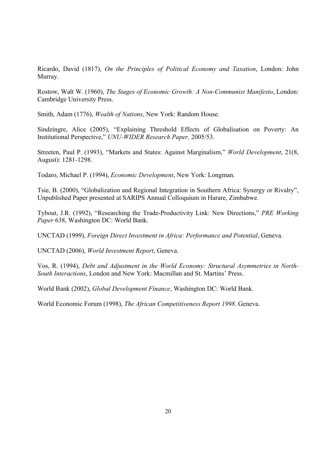Ricardo, David (1817), *On the Principles of Political Economy and Taxation*, London: John Murray.

Rostow, Walt W. (1960), *The Stages of Economic Growth: A Non-Communist Manifesto*, London: Cambridge University Press.

Smith, Adam (1776), *Wealth of Nations*, New York: Random House.

Sindzingre, Alice (2005), "Explaining Threshold Effects of Globalisation on Poverty: An Institutional Perspective," *UNU-WIDER Research Paper,* 2005/53.

Streeten, Paul P. (1993), "Markets and States: Against Marginalism," *World Development*, 21(8, August): 1281-1298.

Todaro, Michael P. (1994), *Economic Development*, New York: Longman.

Tsie, B. (2000), "Globalization and Regional Integration in Southern Africa: Synergy or Rivalry", Unpublished Paper presented at SARIPS Annual Colloquium in Harare, Zimbabwe.

Tybout, J.R. (1992), "Researching the Trade-Productivity Link: New Directions," *PRE Working Paper* 638, Washington DC: World Bank.

UNCTAD (1999), *Foreign Direct Investment in Africa: Performance and Potential*, Geneva.

UNCTAD (2006), *World Investment Report*, Geneva.

Vos, R. (1994), *Debt and Adjustment in the World Economy: Structural Asymmetries in North-South Interactions*, London and New York: Macmillan and St. Martins' Press.

World Bank (2002), *Global Development Finance*, Washington DC: World Bank.

World Economic Forum (1998), *The African Competitiveness Report 1998*. Geneva.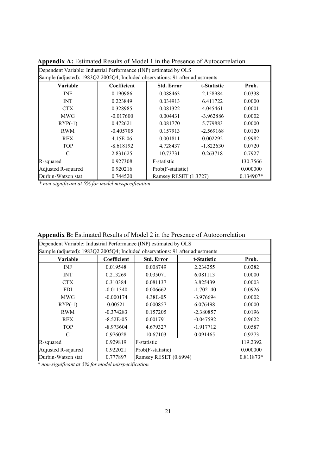| Dependent Variable: Industrial Performance (INP) estimated by OLS             |             |                       |             |             |  |  |  |  |  |
|-------------------------------------------------------------------------------|-------------|-----------------------|-------------|-------------|--|--|--|--|--|
| Sample (adjusted): 1983Q2 2005Q4; Included observations: 91 after adjustments |             |                       |             |             |  |  |  |  |  |
| <b>Variable</b>                                                               | Coefficient | <b>Std. Error</b>     | t-Statistic | Prob.       |  |  |  |  |  |
| <b>INF</b>                                                                    | 0.190986    | 0.088463              | 2.158984    | 0.0338      |  |  |  |  |  |
| <b>INT</b>                                                                    | 0.223849    | 0.034913              | 6.411722    | 0.0000      |  |  |  |  |  |
| CTX.                                                                          | 0.328985    | 0.081322              | 4.045461    | 0.0001      |  |  |  |  |  |
| <b>MWG</b>                                                                    | $-0.017600$ | 0.004431              | $-3.962886$ | 0.0002      |  |  |  |  |  |
| $RYP(-1)$                                                                     | 0.472621    | 0.081770              | 5.779883    | 0.0000      |  |  |  |  |  |
| <b>RWM</b>                                                                    | $-0.405705$ | 0.157913              | $-2.569168$ | 0.0120      |  |  |  |  |  |
| <b>REX</b>                                                                    | 4.15E-06    | 0.001811              | 0.002292    | 0.9982      |  |  |  |  |  |
| <b>TOP</b>                                                                    | $-8.618192$ | 4.728437              | $-1.822630$ | 0.0720      |  |  |  |  |  |
| C                                                                             | 2.831625    | 10.73731              | 0.263718    | 0.7927      |  |  |  |  |  |
| R-squared                                                                     | 0.927308    | F-statistic           |             | 130.7566    |  |  |  |  |  |
| Adjusted R-squared                                                            | 0.920216    | Prob(F-statistic)     |             | 0.000000    |  |  |  |  |  |
| Durbin-Watson stat                                                            | 0.744520    | Ramsey RESET (1.3727) |             | $0.134907*$ |  |  |  |  |  |

**Appendix A:** Estimated Results of Model 1 in the Presence of Autocorrelation

*\* non-significant at 5% for model misspecification* 

| Dependent Variable: Industrial Performance (INP) estimated by OLS |                                                                               |                       |             |          |  |  |  |  |  |
|-------------------------------------------------------------------|-------------------------------------------------------------------------------|-----------------------|-------------|----------|--|--|--|--|--|
|                                                                   | Sample (adjusted): 1983Q2 2005Q4; Included observations: 91 after adjustments |                       |             |          |  |  |  |  |  |
| <b>Variable</b>                                                   | Coefficient                                                                   | <b>Std. Error</b>     | t-Statistic | Prob.    |  |  |  |  |  |
| <b>INF</b>                                                        | 0.019548                                                                      | 0.008749              | 2.234255    | 0.0282   |  |  |  |  |  |
| <b>INT</b>                                                        | 0.213269                                                                      | 0.035071              | 6.081113    | 0.0000   |  |  |  |  |  |
| <b>CTX</b>                                                        | 0.310384                                                                      | 0.081137              | 3.825439    | 0.0003   |  |  |  |  |  |
| <b>FDI</b>                                                        | $-0.011340$                                                                   | 0.006662              | $-1.702140$ | 0.0926   |  |  |  |  |  |
| <b>MWG</b>                                                        | $-0.000174$                                                                   | 4.38E-05              | -3.976694   | 0.0002   |  |  |  |  |  |
| $RYP(-1)$                                                         | 0.00521                                                                       | 0.000857              | 6.076498    | 0.0000   |  |  |  |  |  |
| <b>RWM</b>                                                        | $-0.374283$                                                                   | 0.157205              | $-2.380857$ | 0.0196   |  |  |  |  |  |
| <b>REX</b>                                                        | $-8.52E - 05$                                                                 | 0.001791              | $-0.047592$ | 0.9622   |  |  |  |  |  |
| <b>TOP</b>                                                        | $-8.973604$                                                                   | 4.679327              | $-1.917712$ | 0.0587   |  |  |  |  |  |
| C                                                                 | 0.976028                                                                      | 10.67103              | 0.091465    | 0.9273   |  |  |  |  |  |
| R-squared                                                         | 0.929819                                                                      | F-statistic           |             | 119.2392 |  |  |  |  |  |
| Adjusted R-squared                                                | 0.922021                                                                      | Prob(F-statistic)     |             | 0.000000 |  |  |  |  |  |
| Durbin-Watson stat                                                | 0.777897                                                                      | Ramsey RESET (0.6994) | 0.811873*   |          |  |  |  |  |  |

**Appendix B:** Estimated Results of Model 2 in the Presence of Autocorrelation

*\* non-significant at 5% for model misspecification*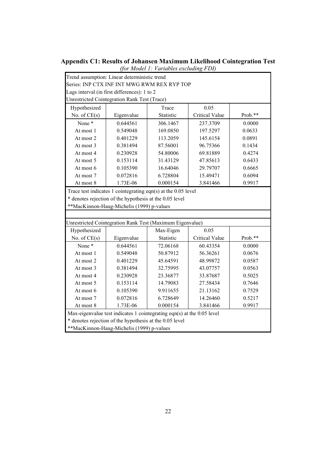| (for Model 1: Variables excluding FDI)                        |                                                         |                                                                        |                       |         |  |  |
|---------------------------------------------------------------|---------------------------------------------------------|------------------------------------------------------------------------|-----------------------|---------|--|--|
|                                                               | Trend assumption: Linear deterministic trend            |                                                                        |                       |         |  |  |
|                                                               |                                                         | Series: INP CTX INF INT MWG RWM REX RYP TOP                            |                       |         |  |  |
|                                                               | Lags interval (in first differences): 1 to 2            |                                                                        |                       |         |  |  |
|                                                               | Unrestricted Cointegration Rank Test (Trace)            |                                                                        |                       |         |  |  |
| Hypothesized                                                  |                                                         | Trace                                                                  | 0.05                  |         |  |  |
| No. of $CE(s)$                                                | Eigenvalue                                              | Statistic                                                              | Critical Value        | Prob.** |  |  |
| None <sup>*</sup>                                             | 0.644561                                                | 306.1467                                                               | 237.3709              | 0.0000  |  |  |
| At most 1                                                     | 0.549048                                                | 169.0850                                                               | 197.5297              | 0.0633  |  |  |
| At most 2                                                     | 0.401229                                                | 113.2059                                                               | 145.6154              | 0.0891  |  |  |
| At most 3                                                     | 0.381494                                                | 87.56001                                                               | 96.75366              | 0.1434  |  |  |
| At most 4                                                     | 0.230928                                                | 54.80006                                                               | 69.81889              | 0.4274  |  |  |
| At most 5                                                     | 0.153114                                                | 31.43129                                                               | 47.85613              | 0.6433  |  |  |
| At most 6                                                     | 0.105390                                                | 16.64046                                                               | 29.79707              | 0.6665  |  |  |
| At most 7                                                     | 0.072816                                                | 6.728804                                                               | 15.49471              | 0.6094  |  |  |
| At most 8                                                     | 1.73E-06                                                | 0.000154                                                               | 3.841466              | 0.9917  |  |  |
| Trace test indicates 1 cointegrating eqn(s) at the 0.05 level |                                                         |                                                                        |                       |         |  |  |
|                                                               | * denotes rejection of the hypothesis at the 0.05 level |                                                                        |                       |         |  |  |
|                                                               | **MacKinnon-Haug-Michelis (1999) p-values               |                                                                        |                       |         |  |  |
|                                                               |                                                         |                                                                        |                       |         |  |  |
|                                                               |                                                         | Unrestricted Cointegration Rank Test (Maximum Eigenvalue)              |                       |         |  |  |
| Hypothesized                                                  |                                                         | Max-Eigen                                                              | 0.05                  |         |  |  |
| No. of $CE(s)$                                                | Eigenvalue                                              | Statistic                                                              | <b>Critical Value</b> | Prob.** |  |  |
| None*                                                         | 0.644561                                                | 72.06168                                                               | 60.43354              | 0.0000  |  |  |
| At most 1                                                     | 0.549048                                                | 50.87912                                                               | 56.36261              | 0.0676  |  |  |
| At most 2                                                     | 0.401229                                                | 45.64591                                                               | 48.99872              | 0.0587  |  |  |
| At most 3                                                     | 0.381494                                                | 32.75995                                                               | 43.07757              | 0.0563  |  |  |
| At most 4                                                     | 0.230928                                                | 23.36877                                                               | 33.87687              | 0.5025  |  |  |
| At most 5                                                     | 0.153114                                                | 14.79083                                                               | 27.58434              | 0.7646  |  |  |
| At most 6                                                     | 0.105390                                                | 9.911655                                                               | 21.13162              | 0.7529  |  |  |
| At most 7                                                     | 0.072816                                                | 6.728649                                                               | 14.26460              | 0.5217  |  |  |
| At most 8                                                     | 1.73E-06                                                | 0.000154                                                               | 3.841466              | 0.9917  |  |  |
|                                                               |                                                         | Max-eigenvalue test indicates 1 cointegrating eqn(s) at the 0.05 level |                       |         |  |  |
| * denotes rejection of the hypothesis at the 0.05 level       |                                                         |                                                                        |                       |         |  |  |

# **Appendix C1: Results of Johansen Maximum Likelihood Cointegration Test**

\*\*MacKinnon-Haug-Michelis (1999) p-values

22